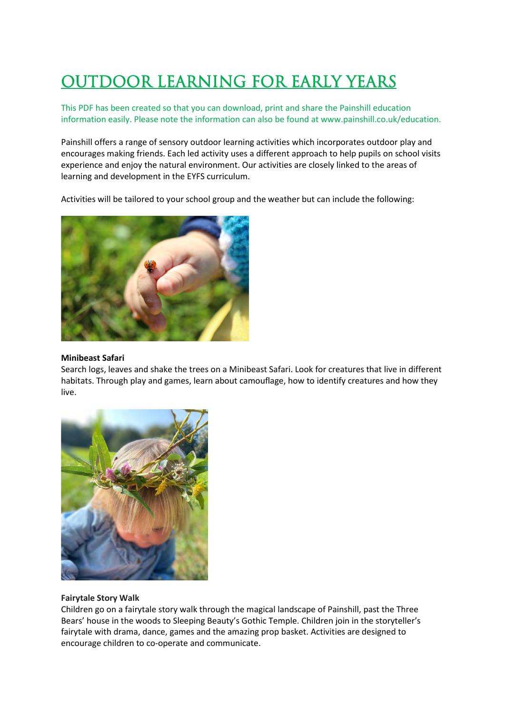# OUTDOOR LEARNING FOR EARLY YEARS

This PDF has been created so that you can download, print and share the Painshill education information easily. Please note the information can also be found at www.painshill.co.uk/education.

Painshill offers a range of sensory outdoor learning activities which incorporates outdoor play and encourages making friends. Each led activity uses a different approach to help pupils on school visits experience and enjoy the natural environment. Our activities are closely linked to the areas of learning and development in the EYFS curriculum.

Activities will be tailored to your school group and the weather but can include the following:



#### **Minibeast Safari**

Search logs, leaves and shake the trees on a Minibeast Safari. Look for creatures that live in different habitats. Through play and games, learn about camouflage, how to identify creatures and how they live.



## **Fairytale Story Walk**

Children go on a fairytale story walk through the magical landscape of Painshill, past the Three Bears' house in the woods to Sleeping Beauty's Gothic Temple. Children join in the storyteller's fairytale with drama, dance, games and the amazing prop basket. Activities are designed to encourage children to co-operate and communicate.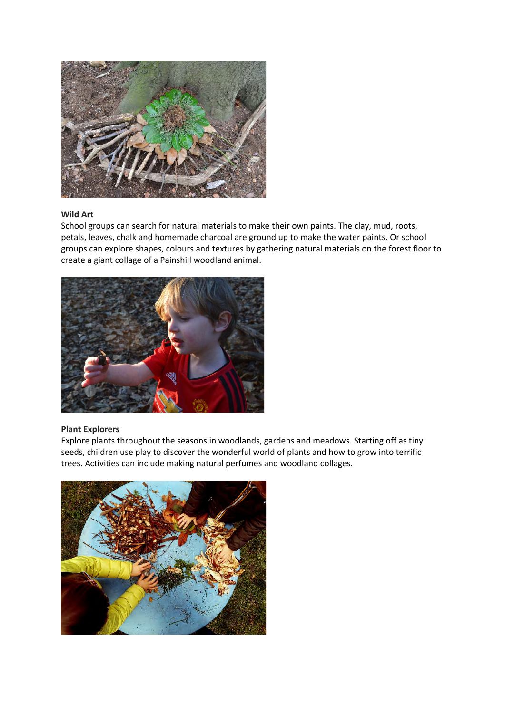

## **Wild Art**

School groups can search for natural materials to make their own paints. The clay, mud, roots, petals, leaves, chalk and homemade charcoal are ground up to make the water paints. Or school groups can explore shapes, colours and textures by gathering natural materials on the forest floor to create a giant collage of a Painshill woodland animal.



## **Plant Explorers**

Explore plants throughout the seasons in woodlands, gardens and meadows. Starting off as tiny seeds, children use play to discover the wonderful world of plants and how to grow into terrific trees. Activities can include making natural perfumes and woodland collages.